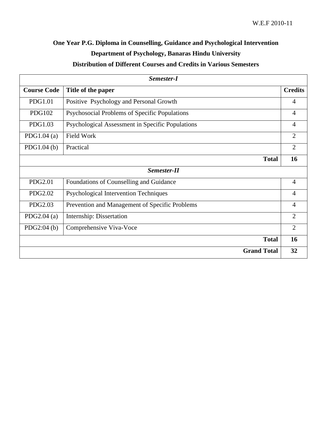# **One Year P.G. Diploma in Counselling, Guidance and Psychological Intervention Department of Psychology, Banaras Hindu University Distribution of Different Courses and Credits in Various Semesters**

| Semester-I         |                                                  |                |
|--------------------|--------------------------------------------------|----------------|
| <b>Course Code</b> | Title of the paper                               | <b>Credits</b> |
| <b>PDG1.01</b>     | Positive Psychology and Personal Growth          | 4              |
| <b>PDG102</b>      | Psychosocial Problems of Specific Populations    | $\overline{4}$ |
| PDG1.03            | Psychological Assessment in Specific Populations | 4              |
| PDG1.04 $(a)$      | <b>Field Work</b>                                | $\overline{2}$ |
| PDG1.04(b)         | Practical                                        | $\overline{2}$ |
|                    | <b>Total</b>                                     | 16             |
| Semester-II        |                                                  |                |
| <b>PDG2.01</b>     | Foundations of Counselling and Guidance          | $\overline{4}$ |
| PDG2.02            | Psychological Intervention Techniques            | 4              |
| PDG2.03            | Prevention and Management of Specific Problems   | 4              |
| PDG2.04 $(a)$      | Internship: Dissertation                         | $\overline{2}$ |
| PDG2:04(b)         | Comprehensive Viva-Voce                          | $\overline{2}$ |
|                    | <b>Total</b>                                     | 16             |
|                    | <b>Grand Total</b>                               | 32             |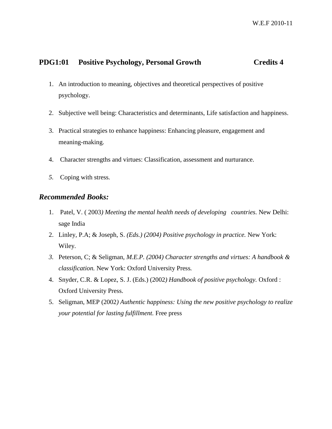## **PDG1:01 Positive Psychology, Personal Growth Credits 4**

- 1. An introduction to meaning, objectives and theoretical perspectives of positive psychology.
- 2. Subjective well being: Characteristics and determinants, Life satisfaction and happiness.
- 3. Practical strategies to enhance happiness: Enhancing pleasure, engagement and meaning-making.
- 4. Character strengths and virtues: Classification, assessment and nurturance.
- *5.* Coping with stress*.*

### *Recommended Books:*

- 1. Patel, V. ( 2003*) Meeting the mental health needs of developing countries.* New Delhi: sage India
- 2. Linley, P.A; & Joseph, S. *(Eds.) (2004) Positive psychology in practice.* New York: Wiley.
- *3.* Peterson, C; & Seligman*, M.E.P. (2004) Character strengths and virtues: A handbook & classification.* New York: Oxford University Press*.*
- 4. Snyder, C.R. & Lopez, S. J. (Eds.) (2002*) Handbook of positive psychology.* Oxford : Oxford University Press.
- 5. Seligman, MEP (2002*) Authentic happiness: Using the new positive psychology to realize your potential for lasting fulfillment.* Free press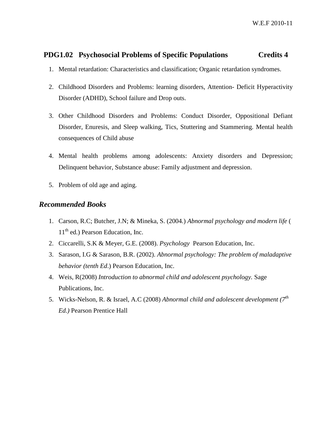## **PDG1.02 Psychosocial Problems of Specific Populations Credits 4**

- 1. Mental retardation: Characteristics and classification; Organic retardation syndromes.
- 2. Childhood Disorders and Problems: learning disorders, Attention- Deficit Hyperactivity Disorder (ADHD), School failure and Drop outs.
- 3. Other Childhood Disorders and Problems: Conduct Disorder, Oppositional Defiant Disorder, Enuresis, and Sleep walking, Tics, Stuttering and Stammering. Mental health consequences of Child abuse
- 4. Mental health problems among adolescents: Anxiety disorders and Depression; Delinquent behavior, Substance abuse: Family adjustment and depression.
- 5. Problem of old age and aging.

### *Recommended Books*

- 1. Carson, R.C; Butcher, J.N; & Mineka, S. (2004.) *Abnormal psychology and modern life* (  $11<sup>th</sup>$  ed.) Pearson Education, Inc.
- 2. Ciccarelli, S.K & Meyer, G.E. (2008). *Psychology* Pearson Education, Inc.
- 3. Sarason, I.G & Sarason, B.R. (2002). *Abnormal psychology: The problem of maladaptive behavior (tenth Ed*.) Pearson Education, Inc.
- 4. Weis, R(2008) *Introduction to abnormal child and adolescent psychology.* Sage Publications, Inc.
- 5. Wicks-Nelson, R. & Israel, A.C (2008) *Abnormal child and adolescent development (7th Ed.)* Pearson Prentice Hall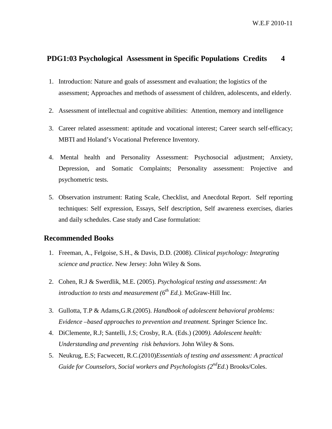W.E.F 2010-11

### **PDG1:03 Psychological Assessment in Specific Populations Credits 4**

- 1. Introduction: Nature and goals of assessment and evaluation; the logistics of the assessment; Approaches and methods of assessment of children, adolescents, and elderly.
- 2. Assessment of intellectual and cognitive abilities: Attention, memory and intelligence
- 3. Career related assessment: aptitude and vocational interest; Career search self-efficacy; MBTI and Holand's Vocational Preference Inventory.
- 4. Mental health and Personality Assessment: Psychosocial adjustment; Anxiety, Depression, and Somatic Complaints; Personality assessment: Projective and psychometric tests.
- 5. Observation instrument: Rating Scale, Checklist, and Anecdotal Report. Self reporting techniques: Self expression, Essays, Self description, Self awareness exercises, diaries and daily schedules. Case study and Case formulation:

### **Recommended Books**

- 1. Freeman, A., Felgoise, S.H., & Davis, D.D. (2008). *Clinical psychology: Integrating science and practice*. New Jersey: John Wiley & Sons.
- 2. Cohen, R.J & Swerdlik, M.E. (2005). *Psychological testing and assessment: An introduction to tests and measurement*  $(6^{th} Ed.)$ . McGraw-Hill Inc.
- 3. Gullotta, T.P & Adams,G.R.(2005). *Handbook of adolescent behavioral problems: Evidence –based approaches to prevention and treatment.* Springer Science Inc.
- 4. DiClemente, R.J; Santelli, J.S; Crosby, R.A. (Eds.) (2009*). Adolescent health: Understanding and preventing risk behaviors.* John Wiley & Sons.
- 5. Neukrug, E.S; Facwecett, R.C.(2010)*Essentials of testing and assessment: A practical Guide for Counselors, Social workers and Psychologists (2<sup>nd</sup>Ed.) Brooks/Coles.*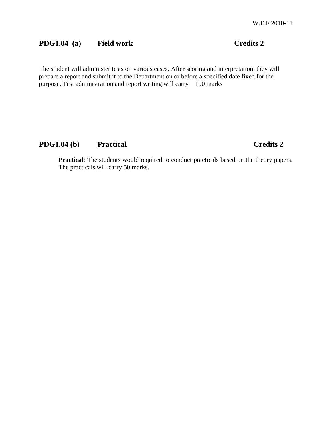# **PDG1.04 (a) Field work Credits 2**

The student will administer tests on various cases. After scoring and interpretation, they will prepare a report and submit it to the Department on or before a specified date fixed for the purpose. Test administration and report writing will carry 100 marks

# **PDG1.04 (b) Practical Credits 2**

**Practical**: The students would required to conduct practicals based on the theory papers. The practicals will carry 50 marks.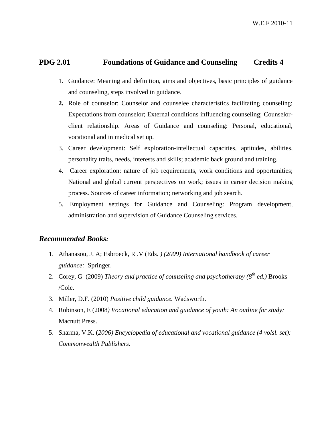## **PDG 2.01 Foundations of Guidance and Counseling Credits 4**

- 1. Guidance: Meaning and definition, aims and objectives, basic principles of guidance and counseling, steps involved in guidance.
- **2.** Role of counselor: Counselor and counselee characteristics facilitating counseling; Expectations from counselor; External conditions influencing counseling; Counselorclient relationship. Areas of Guidance and counseling: Personal, educational, vocational and in medical set up.
- 3. Career development: Self exploration-intellectual capacities, aptitudes, abilities, personality traits, needs, interests and skills; academic back ground and training.
- 4. Career exploration: nature of job requirements, work conditions and opportunities; National and global current perspectives on work; issues in career decision making process. Sources of career information; networking and job search.
- 5. Employment settings for Guidance and Counseling: Program development, administration and supervision of Guidance Counseling services.

### *Recommended Books:*

- 1. Athanasou, J. A; Esbroeck, R .V (Eds. *) (2009) International handbook of career guidance:* Springer.
- 2. Corey, G (2009) *Theory and practice of counseling and psychotherapy (8th ed.)* Brooks /Cole.
- 3. Miller, D.F. (2010) *Positive child guidance.* Wadsworth.
- 4. Robinson, E (2008*) Vocational education and guidance of youth: An outline for study:*  Macnutt Press.
- 5. Sharma, V.K. (*2006) Encyclopedia of educational and vocational guidance (4 volsl. set): Commonwealth Publishers.*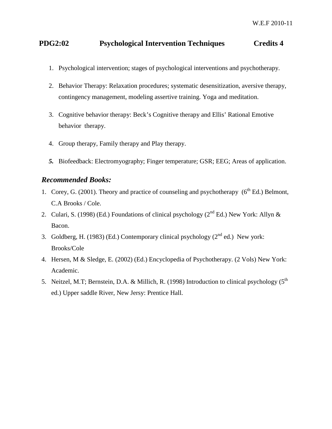# **PDG2:02 Psychological Intervention Techniques Credits 4**

- 1. Psychological intervention; stages of psychological interventions and psychotherapy.
- 2. Behavior Therapy: Relaxation procedures; systematic desensitization, aversive therapy, contingency management, modeling assertive training. Yoga and meditation.
- 3. Cognitive behavior therapy: Beck's Cognitive therapy and Ellis' Rational Emotive behavior therapy.
- 4. Group therapy, Family therapy and Play therapy.
- *5.* Biofeedback: Electromyography; Finger temperature; GSR; EEG; Areas of application.

### *Recommended Books:*

- 1. Corey, G. (2001). Theory and practice of counseling and psychotherapy ( $6<sup>th</sup> Ed$ .) Belmont, C.A Brooks / Cole.
- 2. Culari, S. (1998) (Ed.) Foundations of clinical psychology ( $2<sup>nd</sup> Ed$ .) New York: Allyn & Bacon.
- 3. Goldberg, H. (1983) (Ed.) Contemporary clinical psychology ( $2<sup>nd</sup>$  ed.) New york: Brooks/Cole
- 4. Hersen, M & Sledge, E. (2002) (Ed.) Encyclopedia of Psychotherapy. (2 Vols) New York: Academic.
- 5. Neitzel, M.T; Bernstein, D.A. & Millich, R. (1998) Introduction to clinical psychology (5<sup>th</sup>) ed.) Upper saddle River, New Jersy: Prentice Hall.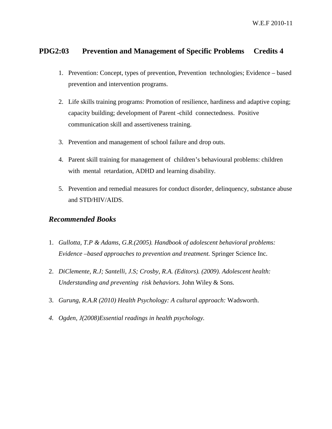# **PDG2:03 Prevention and Management of Specific Problems Credits 4**

- 1. Prevention: Concept, types of prevention, Prevention technologies; Evidence based prevention and intervention programs.
- 2. Life skills training programs: Promotion of resilience, hardiness and adaptive coping; capacity building; development of Parent -child connectedness. Positive communication skill and assertiveness training.
- 3. Prevention and management of school failure and drop outs.
- 4. Parent skill training for management of children's behavioural problems: children with mental retardation, ADHD and learning disability.
- 5. Prevention and remedial measures for conduct disorder, delinquency, substance abuse and STD/HIV/AIDS.

### *Recommended Books*

- 1. *Gullotta, T.P & Adams, G.R.(2005). Handbook of adolescent behavioral problems: Evidence –based approaches to prevention and treatment.* Springer Science Inc.
- 2. *DiClemente, R.J; Santelli, J.S; Crosby, R.A. (Editors). (2009). Adolescent health: Understanding and preventing risk behaviors.* John Wiley & Sons.
- 3. *Gurung, R.A.R (2010) Health Psychology: A cultural approach:* Wadsworth.
- *4. Ogden, J(2008)Essential readings in health psychology.*